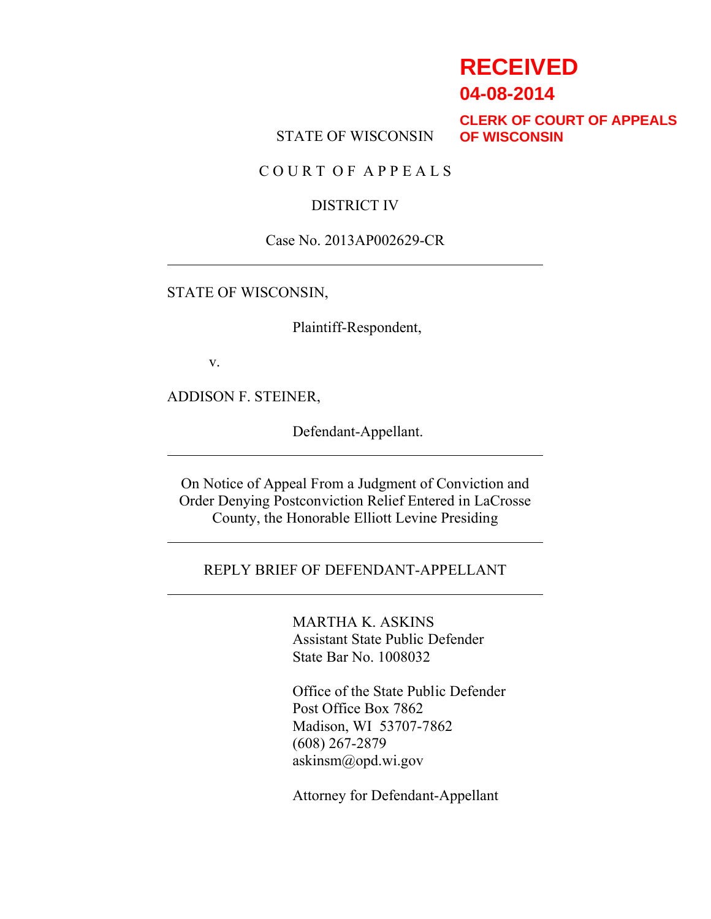# **RECEIVED**

**04-08-2014**

STATE OF WISCONSIN

**CLERK OF COURT OF APPEALS OF WISCONSIN**

C O U R T O F A P P E A L S

### DISTRICT IV

#### Case No. 2013AP002629-CR

#### STATE OF WISCONSIN,

Plaintiff-Respondent,

v.

ADDISON F. STEINER,

Defendant-Appellant.

On Notice of Appeal From a Judgment of Conviction and Order Denying Postconviction Relief Entered in LaCrosse County, the Honorable Elliott Levine Presiding

#### REPLY BRIEF OF DEFENDANT-APPELLANT

MARTHA K. ASKINS Assistant State Public Defender State Bar No. 1008032

Office of the State Public Defender Post Office Box 7862 Madison, WI 53707-7862 (608) 267-2879 askinsm@opd.wi.gov

Attorney for Defendant-Appellant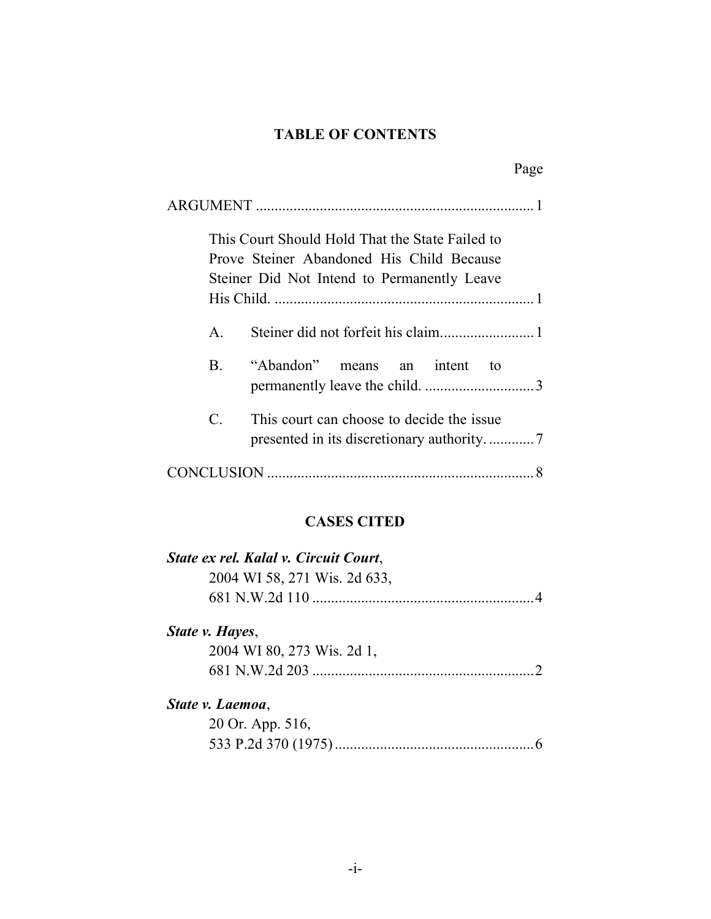# **TABLE OF CONTENTS**

|              |                                                                                                                                             | Page |
|--------------|---------------------------------------------------------------------------------------------------------------------------------------------|------|
|              |                                                                                                                                             |      |
|              | This Court Should Hold That the State Failed to<br>Prove Steiner Abandoned His Child Because<br>Steiner Did Not Intend to Permanently Leave |      |
|              |                                                                                                                                             |      |
| $\mathbf{A}$ |                                                                                                                                             |      |
| <b>B</b> .   | "Abandon" means an intent<br>tο                                                                                                             |      |
| $C_{\cdot}$  | This court can choose to decide the issue.                                                                                                  |      |
|              |                                                                                                                                             |      |

# **CASES CITED**

| State ex rel. Kalal v. Circuit Court, |          |
|---------------------------------------|----------|
| 2004 WI 58, 271 Wis. 2d 633,          |          |
|                                       | $\Delta$ |
| State v. Hayes,                       |          |
| 2004 WI 80, 273 Wis. 2d 1,            |          |
|                                       |          |
| State v. Laemoa,                      |          |
| 20 Or. App. 516,                      |          |
|                                       |          |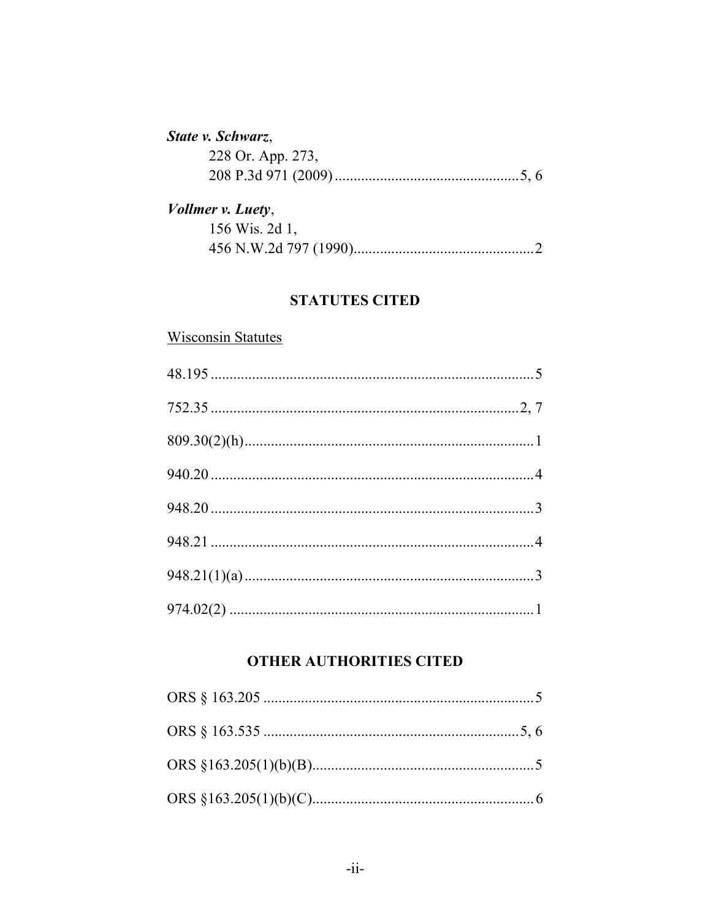### State v. Schwarz,

| 228 Or. App. 273, |  |
|-------------------|--|
|                   |  |

# Vollmer v. Luety, 156 Wis. 2d 1,

### **STATUTES CITED**

### **Wisconsin Statutes**

### **OTHER AUTHORITIES CITED**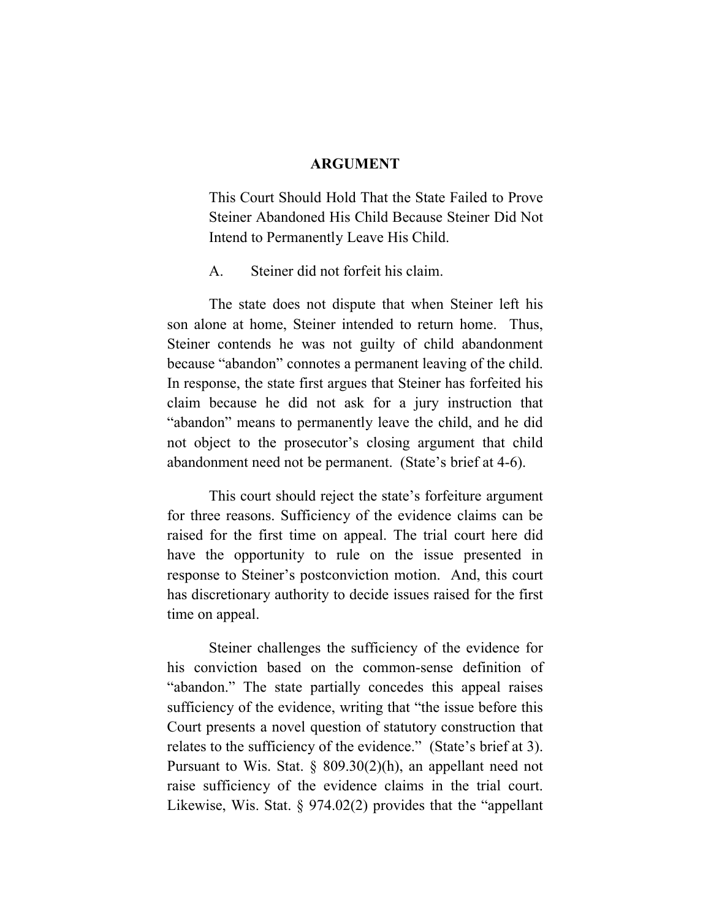#### **ARGUMENT**

This Court Should Hold That the State Failed to Prove Steiner Abandoned His Child Because Steiner Did Not Intend to Permanently Leave His Child.

A. Steiner did not forfeit his claim.

The state does not dispute that when Steiner left his son alone at home, Steiner intended to return home. Thus, Steiner contends he was not guilty of child abandonment because "abandon" connotes a permanent leaving of the child. In response, the state first argues that Steiner has forfeited his claim because he did not ask for a jury instruction that "abandon" means to permanently leave the child, and he did not object to the prosecutor's closing argument that child abandonment need not be permanent. (State's brief at 4-6).

This court should reject the state's forfeiture argument for three reasons. Sufficiency of the evidence claims can be raised for the first time on appeal. The trial court here did have the opportunity to rule on the issue presented in response to Steiner's postconviction motion. And, this court has discretionary authority to decide issues raised for the first time on appeal.

Steiner challenges the sufficiency of the evidence for his conviction based on the common-sense definition of "abandon." The state partially concedes this appeal raises sufficiency of the evidence, writing that "the issue before this Court presents a novel question of statutory construction that relates to the sufficiency of the evidence." (State's brief at 3). Pursuant to Wis. Stat. § 809.30(2)(h), an appellant need not raise sufficiency of the evidence claims in the trial court. Likewise, Wis. Stat. § 974.02(2) provides that the "appellant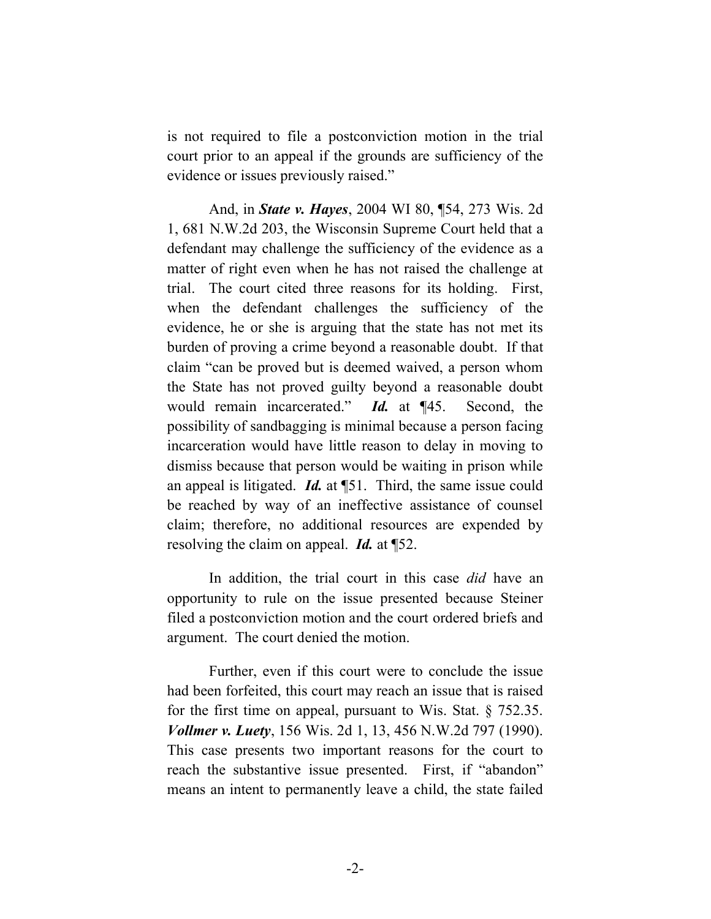is not required to file a postconviction motion in the trial court prior to an appeal if the grounds are sufficiency of the evidence or issues previously raised."

And, in *State v. Hayes*, 2004 WI 80, ¶54, 273 Wis. 2d 1, 681 N.W.2d 203, the Wisconsin Supreme Court held that a defendant may challenge the sufficiency of the evidence as a matter of right even when he has not raised the challenge at trial. The court cited three reasons for its holding. First, when the defendant challenges the sufficiency of the evidence, he or she is arguing that the state has not met its burden of proving a crime beyond a reasonable doubt. If that claim "can be proved but is deemed waived, a person whom the State has not proved guilty beyond a reasonable doubt would remain incarcerated." *Id.* at ¶45. Second, the possibility of sandbagging is minimal because a person facing incarceration would have little reason to delay in moving to dismiss because that person would be waiting in prison while an appeal is litigated. *Id.* at ¶51. Third, the same issue could be reached by way of an ineffective assistance of counsel claim; therefore, no additional resources are expended by resolving the claim on appeal. *Id.* at ¶52.

In addition, the trial court in this case *did* have an opportunity to rule on the issue presented because Steiner filed a postconviction motion and the court ordered briefs and argument. The court denied the motion.

Further, even if this court were to conclude the issue had been forfeited, this court may reach an issue that is raised for the first time on appeal, pursuant to Wis. Stat. § 752.35. *Vollmer v. Luety*, 156 Wis. 2d 1, 13, 456 N.W.2d 797 (1990). This case presents two important reasons for the court to reach the substantive issue presented. First, if "abandon" means an intent to permanently leave a child, the state failed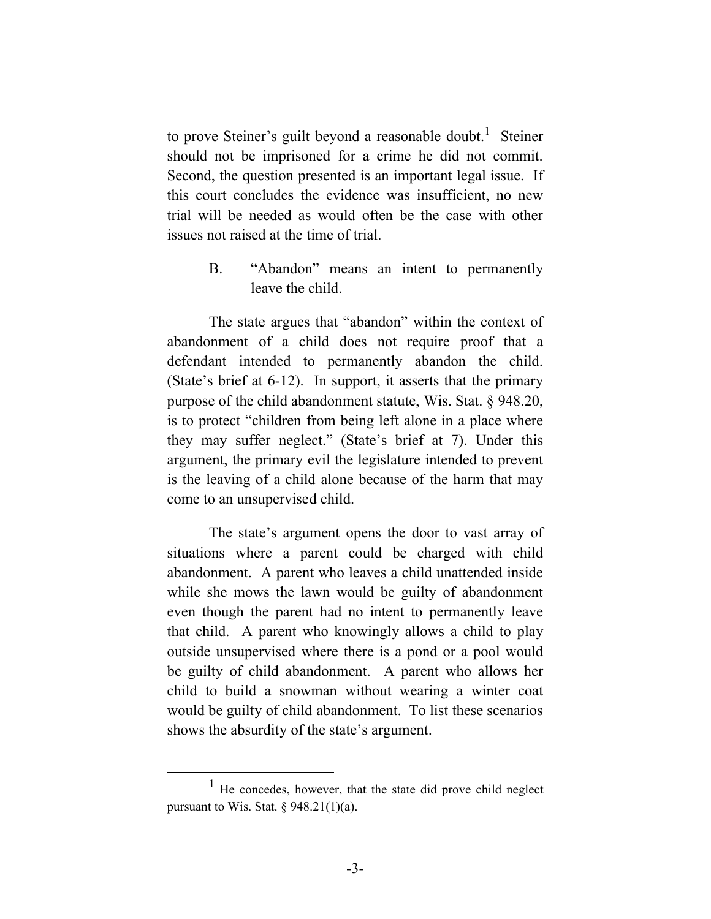to prove Steiner's guilt beyond a reasonable doubt.<sup>1</sup> Steiner should not be imprisoned for a crime he did not commit. Second, the question presented is an important legal issue. If this court concludes the evidence was insufficient, no new trial will be needed as would often be the case with other issues not raised at the time of trial.

> B. "Abandon" means an intent to permanently leave the child.

The state argues that "abandon" within the context of abandonment of a child does not require proof that a defendant intended to permanently abandon the child. (State's brief at 6-12). In support, it asserts that the primary purpose of the child abandonment statute, Wis. Stat. § 948.20, is to protect "children from being left alone in a place where they may suffer neglect." (State's brief at 7). Under this argument, the primary evil the legislature intended to prevent is the leaving of a child alone because of the harm that may come to an unsupervised child.

The state's argument opens the door to vast array of situations where a parent could be charged with child abandonment. A parent who leaves a child unattended inside while she mows the lawn would be guilty of abandonment even though the parent had no intent to permanently leave that child. A parent who knowingly allows a child to play outside unsupervised where there is a pond or a pool would be guilty of child abandonment. A parent who allows her child to build a snowman without wearing a winter coat would be guilty of child abandonment. To list these scenarios shows the absurdity of the state's argument.

 $\overline{\phantom{0}1}$  $<sup>1</sup>$  He concedes, however, that the state did prove child neglect</sup> pursuant to Wis. Stat.  $\S$  948.21(1)(a).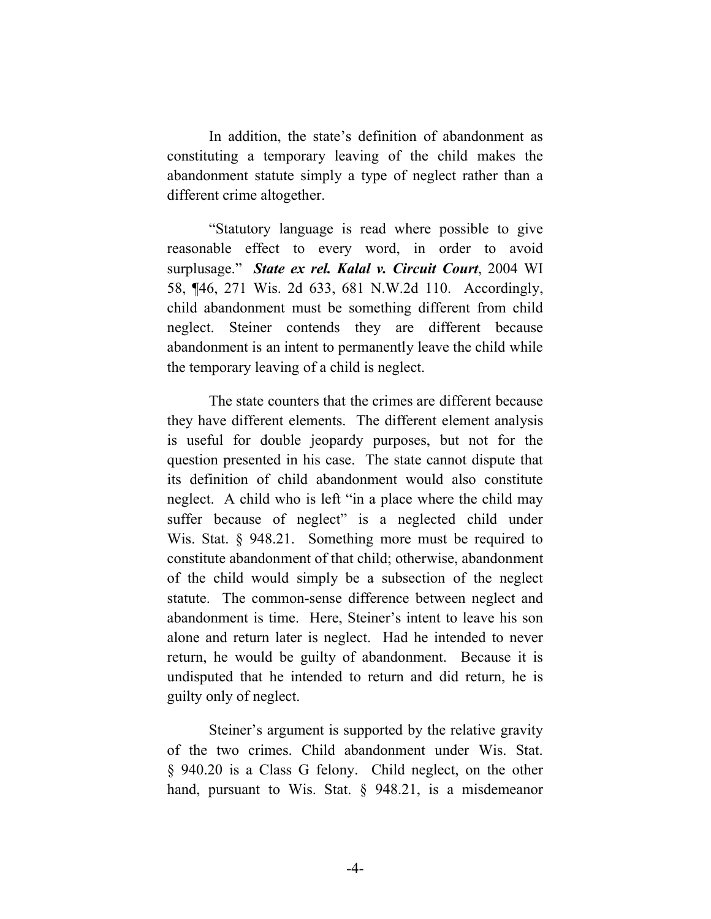In addition, the state's definition of abandonment as constituting a temporary leaving of the child makes the abandonment statute simply a type of neglect rather than a different crime altogether.

"Statutory language is read where possible to give reasonable effect to every word, in order to avoid surplusage." *State ex rel. Kalal v. Circuit Court*, 2004 WI 58, ¶46, 271 Wis. 2d 633, 681 N.W.2d 110. Accordingly, child abandonment must be something different from child neglect. Steiner contends they are different because abandonment is an intent to permanently leave the child while the temporary leaving of a child is neglect.

The state counters that the crimes are different because they have different elements. The different element analysis is useful for double jeopardy purposes, but not for the question presented in his case. The state cannot dispute that its definition of child abandonment would also constitute neglect. A child who is left "in a place where the child may suffer because of neglect" is a neglected child under Wis. Stat. § 948.21. Something more must be required to constitute abandonment of that child; otherwise, abandonment of the child would simply be a subsection of the neglect statute. The common-sense difference between neglect and abandonment is time. Here, Steiner's intent to leave his son alone and return later is neglect. Had he intended to never return, he would be guilty of abandonment. Because it is undisputed that he intended to return and did return, he is guilty only of neglect.

Steiner's argument is supported by the relative gravity of the two crimes. Child abandonment under Wis. Stat. § 940.20 is a Class G felony. Child neglect, on the other hand, pursuant to Wis. Stat. § 948.21, is a misdemeanor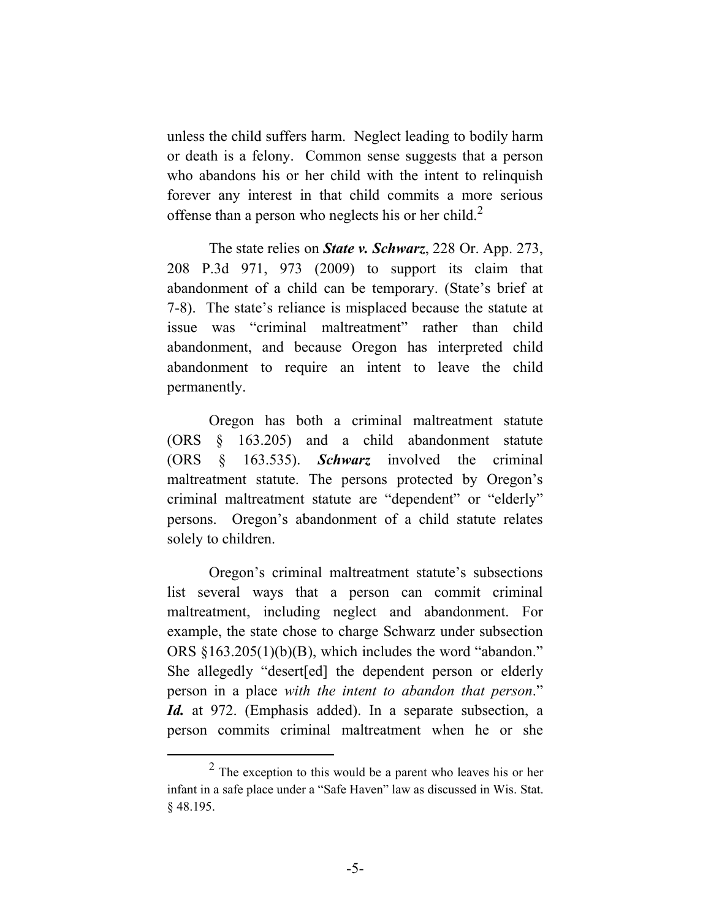unless the child suffers harm. Neglect leading to bodily harm or death is a felony. Common sense suggests that a person who abandons his or her child with the intent to relinquish forever any interest in that child commits a more serious offense than a person who neglects his or her child.<sup>2</sup>

The state relies on *State v. Schwarz*, 228 Or. App. 273, 208 P.3d 971, 973 (2009) to support its claim that abandonment of a child can be temporary. (State's brief at 7-8). The state's reliance is misplaced because the statute at issue was "criminal maltreatment" rather than child abandonment, and because Oregon has interpreted child abandonment to require an intent to leave the child permanently.

Oregon has both a criminal maltreatment statute (ORS § 163.205) and a child abandonment statute (ORS § 163.535). *Schwarz* involved the criminal maltreatment statute. The persons protected by Oregon's criminal maltreatment statute are "dependent" or "elderly" persons. Oregon's abandonment of a child statute relates solely to children.

Oregon's criminal maltreatment statute's subsections list several ways that a person can commit criminal maltreatment, including neglect and abandonment. For example, the state chose to charge Schwarz under subsection ORS §163.205(1)(b)(B), which includes the word "abandon." She allegedly "desert[ed] the dependent person or elderly person in a place *with the intent to abandon that person*." *Id.* at 972. (Emphasis added). In a separate subsection, a person commits criminal maltreatment when he or she

 <sup>2</sup> The exception to this would be a parent who leaves his or her infant in a safe place under a "Safe Haven" law as discussed in Wis. Stat. § 48.195.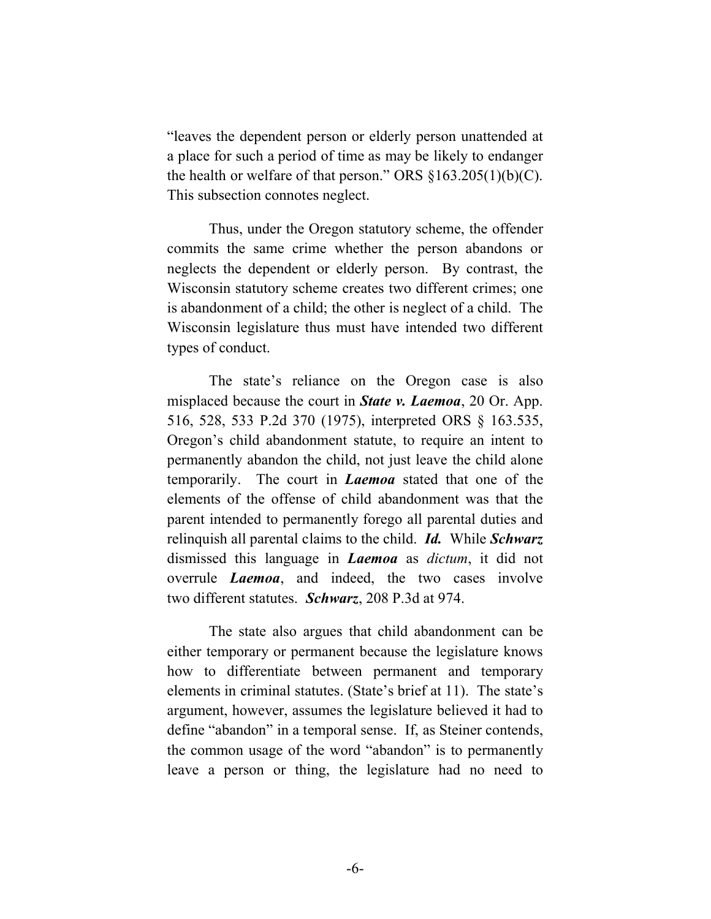"leaves the dependent person or elderly person unattended at a place for such a period of time as may be likely to endanger the health or welfare of that person." ORS  $\S163.205(1)(b)(C)$ . This subsection connotes neglect.

Thus, under the Oregon statutory scheme, the offender commits the same crime whether the person abandons or neglects the dependent or elderly person. By contrast, the Wisconsin statutory scheme creates two different crimes; one is abandonment of a child; the other is neglect of a child. The Wisconsin legislature thus must have intended two different types of conduct.

The state's reliance on the Oregon case is also misplaced because the court in *State v. Laemoa*, 20 Or. App. 516, 528, 533 P.2d 370 (1975), interpreted ORS § 163.535, Oregon's child abandonment statute, to require an intent to permanently abandon the child, not just leave the child alone temporarily. The court in *Laemoa* stated that one of the elements of the offense of child abandonment was that the parent intended to permanently forego all parental duties and relinquish all parental claims to the child. *Id.* While *Schwarz* dismissed this language in *Laemoa* as *dictum*, it did not overrule *Laemoa*, and indeed, the two cases involve two different statutes. *Schwarz*, 208 P.3d at 974.

The state also argues that child abandonment can be either temporary or permanent because the legislature knows how to differentiate between permanent and temporary elements in criminal statutes. (State's brief at 11). The state's argument, however, assumes the legislature believed it had to define "abandon" in a temporal sense. If, as Steiner contends, the common usage of the word "abandon" is to permanently leave a person or thing, the legislature had no need to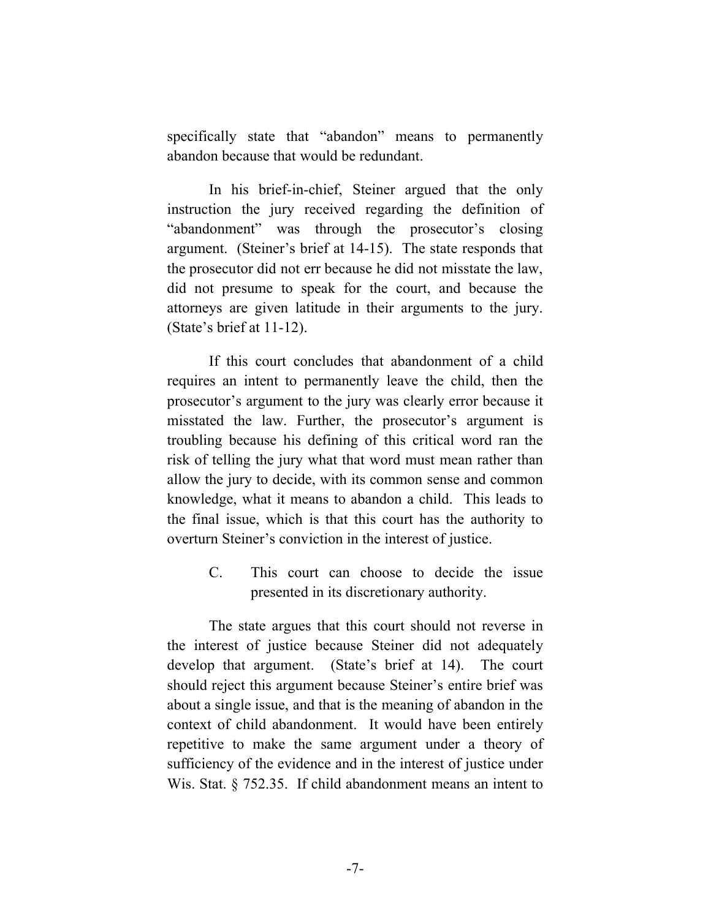specifically state that "abandon" means to permanently abandon because that would be redundant.

In his brief-in-chief, Steiner argued that the only instruction the jury received regarding the definition of "abandonment" was through the prosecutor's closing argument. (Steiner's brief at 14-15). The state responds that the prosecutor did not err because he did not misstate the law, did not presume to speak for the court, and because the attorneys are given latitude in their arguments to the jury. (State's brief at 11-12).

If this court concludes that abandonment of a child requires an intent to permanently leave the child, then the prosecutor's argument to the jury was clearly error because it misstated the law. Further, the prosecutor's argument is troubling because his defining of this critical word ran the risk of telling the jury what that word must mean rather than allow the jury to decide, with its common sense and common knowledge, what it means to abandon a child. This leads to the final issue, which is that this court has the authority to overturn Steiner's conviction in the interest of justice.

> C. This court can choose to decide the issue presented in its discretionary authority.

The state argues that this court should not reverse in the interest of justice because Steiner did not adequately develop that argument. (State's brief at 14). The court should reject this argument because Steiner's entire brief was about a single issue, and that is the meaning of abandon in the context of child abandonment. It would have been entirely repetitive to make the same argument under a theory of sufficiency of the evidence and in the interest of justice under Wis. Stat. § 752.35. If child abandonment means an intent to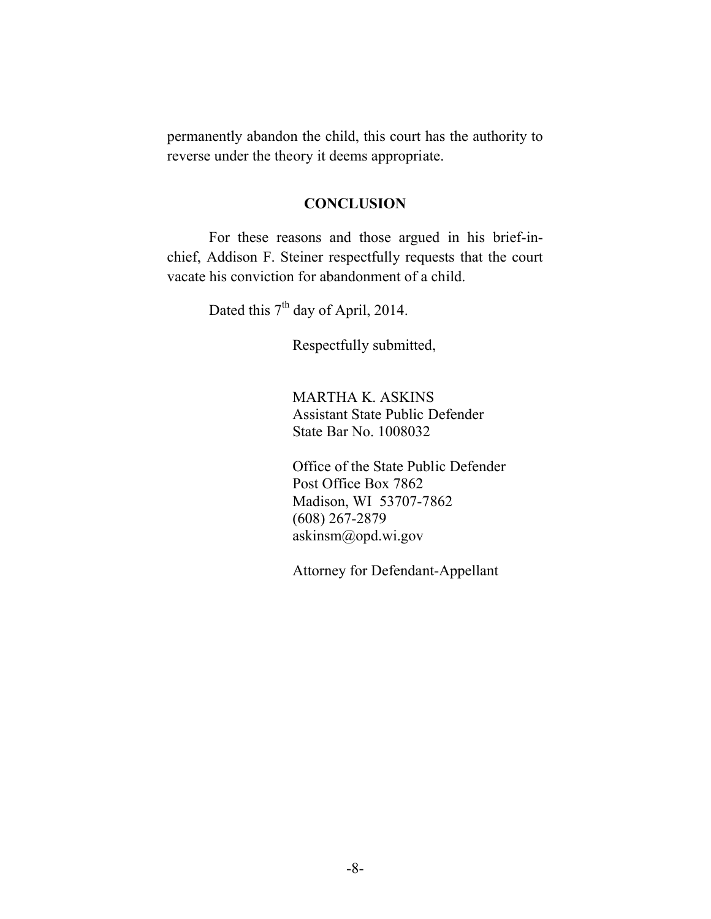permanently abandon the child, this court has the authority to reverse under the theory it deems appropriate.

#### **CONCLUSION**

For these reasons and those argued in his brief-inchief, Addison F. Steiner respectfully requests that the court vacate his conviction for abandonment of a child.

Dated this  $7<sup>th</sup>$  day of April, 2014.

Respectfully submitted,

MARTHA K. ASKINS Assistant State Public Defender State Bar No. 1008032

Office of the State Public Defender Post Office Box 7862 Madison, WI 53707-7862 (608) 267-2879 askinsm@opd.wi.gov

Attorney for Defendant-Appellant